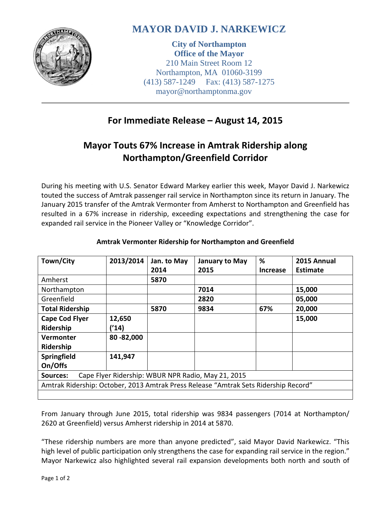

# **MAYOR DAVID J. NARKEWICZ**

**City of Northampton Office of the Mayor** 210 Main Street Room 12 Northampton, MA 01060-3199 (413) 587-1249 Fax: (413) 587-1275 mayor@northamptonma.gov

### **For Immediate Release – August 14, 2015**

## **Mayor Touts 67% Increase in Amtrak Ridership along Northampton/Greenfield Corridor**

During his meeting with U.S. Senator Edward Markey earlier this week, Mayor David J. Narkewicz touted the success of Amtrak passenger rail service in Northampton since its return in January. The January 2015 transfer of the Amtrak Vermonter from Amherst to Northampton and Greenfield has resulted in a 67% increase in ridership, exceeding expectations and strengthening the case for expanded rail service in the Pioneer Valley or "Knowledge Corridor".

| Town/City                                                                           | 2013/2014 | Jan. to May | January to May | %               | 2015 Annual     |
|-------------------------------------------------------------------------------------|-----------|-------------|----------------|-----------------|-----------------|
|                                                                                     |           | 2014        | 2015           | <b>Increase</b> | <b>Estimate</b> |
| Amherst                                                                             |           | 5870        |                |                 |                 |
| Northampton                                                                         |           |             | 7014           |                 | 15,000          |
| Greenfield                                                                          |           |             | 2820           |                 | 05,000          |
| <b>Total Ridership</b>                                                              |           | 5870        | 9834           | 67%             | 20,000          |
| <b>Cape Cod Flyer</b>                                                               | 12,650    |             |                |                 | 15,000          |
| Ridership                                                                           | ('14)     |             |                |                 |                 |
| Vermonter                                                                           | 80-82,000 |             |                |                 |                 |
| Ridership                                                                           |           |             |                |                 |                 |
| Springfield                                                                         | 141,947   |             |                |                 |                 |
| On/Offs                                                                             |           |             |                |                 |                 |
| Cape Flyer Ridership: WBUR NPR Radio, May 21, 2015<br><b>Sources:</b>               |           |             |                |                 |                 |
| Amtrak Ridership: October, 2013 Amtrak Press Release "Amtrak Sets Ridership Record" |           |             |                |                 |                 |
|                                                                                     |           |             |                |                 |                 |

### **Amtrak Vermonter Ridership for Northampton and Greenfield**

From January through June 2015, total ridership was 9834 passengers (7014 at Northampton/ 2620 at Greenfield) versus Amherst ridership in 2014 at 5870.

"These ridership numbers are more than anyone predicted", said Mayor David Narkewicz. "This high level of public participation only strengthens the case for expanding rail service in the region." Mayor Narkewicz also highlighted several rail expansion developments both north and south of